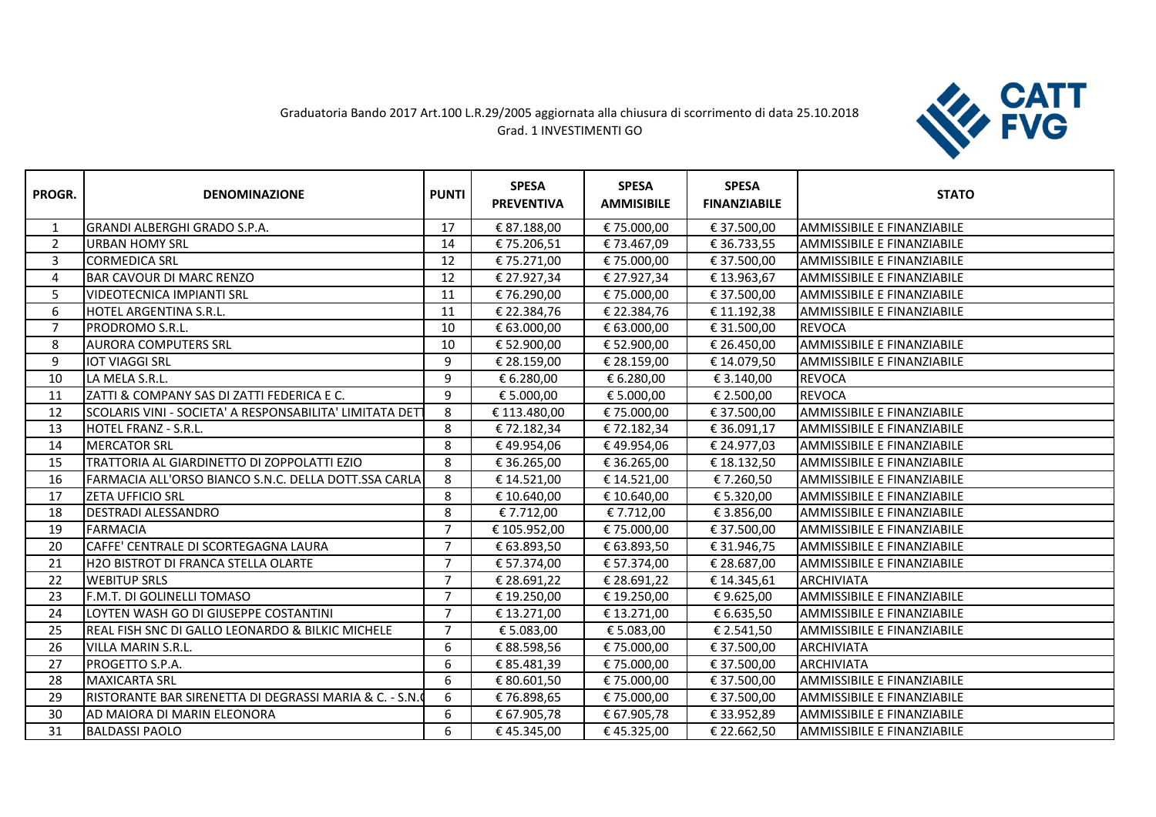## Graduatoria Bando 2017 Art.100 L.R.29/2005 aggiornata alla chiusura di scorrimento di data 25.10.2018 Grad. 1 INVESTIMENTI GO



| PROGR.         | <b>DENOMINAZIONE</b>                                    | <b>PUNTI</b>   | <b>SPESA</b><br><b>PREVENTIVA</b> | <b>SPESA</b><br><b>AMMISIBILE</b> | <b>SPESA</b><br><b>FINANZIABILE</b> | <b>STATO</b>                      |
|----------------|---------------------------------------------------------|----------------|-----------------------------------|-----------------------------------|-------------------------------------|-----------------------------------|
|                | <b>GRANDI ALBERGHI GRADO S.P.A.</b>                     | 17             | € 87.188,00                       | €75.000,00                        | € 37.500,00                         | AMMISSIBILE E FINANZIABILE        |
| $\overline{2}$ | <b>URBAN HOMY SRL</b>                                   | 14             | €75.206,51                        | €73.467,09                        | € 36.733,55                         | <b>AMMISSIBILE E FINANZIABILE</b> |
| 3              | <b>CORMEDICA SRL</b>                                    | 12             | € 75.271,00                       | € 75.000,00                       | € 37.500,00                         | <b>AMMISSIBILE E FINANZIABILE</b> |
| 4              | <b>BAR CAVOUR DI MARC RENZO</b>                         | 12             | € 27.927,34                       | € 27.927,34                       | € 13.963,67                         | <b>AMMISSIBILE E FINANZIABILE</b> |
| 5              | <b>VIDEOTECNICA IMPIANTI SRL</b>                        | 11             | € 76.290,00                       | €75.000,00                        | € 37.500,00                         | <b>AMMISSIBILE E FINANZIABILE</b> |
| 6              | HOTEL ARGENTINA S.R.L.                                  | 11             | € 22.384,76                       | € 22.384,76                       | € 11.192,38                         | AMMISSIBILE E FINANZIABILE        |
| $\overline{7}$ | PRODROMO S.R.L.                                         | 10             | € 63.000,00                       | € 63.000,00                       | € 31.500,00                         | <b>REVOCA</b>                     |
| 8              | <b>AURORA COMPUTERS SRL</b>                             | 10             | € 52.900,00                       | € 52.900,00                       | € 26.450,00                         | <b>AMMISSIBILE E FINANZIABILE</b> |
| 9              | <b>IOT VIAGGI SRL</b>                                   | 9              | € 28.159,00                       | € 28.159,00                       | € 14.079,50                         | AMMISSIBILE E FINANZIABILE        |
| 10             | LA MELA S.R.L.                                          | 9              | € 6.280,00                        | € 6.280,00                        | € 3.140,00                          | <b>REVOCA</b>                     |
| 11             | ZATTI & COMPANY SAS DI ZATTI FEDERICA E C.              | 9              | € 5.000,00                        | € 5.000,00                        | € 2.500,00                          | <b>REVOCA</b>                     |
| 12             | SCOLARIS VINI - SOCIETA' A RESPONSABILITA' LIMITATA DET | 8              | € 113.480,00                      | €75.000,00                        | € 37.500,00                         | <b>AMMISSIBILE E FINANZIABILE</b> |
| 13             | <b>HOTEL FRANZ - S.R.L.</b>                             | 8              | €72.182,34                        | €72.182,34                        | € 36.091,17                         | <b>AMMISSIBILE E FINANZIABILE</b> |
| 14             | <b>MERCATOR SRL</b>                                     | 8              | €49.954,06                        | €49.954,06                        | € 24.977,03                         | <b>AMMISSIBILE E FINANZIABILE</b> |
| 15             | TRATTORIA AL GIARDINETTO DI ZOPPOLATTI EZIO             | 8              | € 36.265,00                       | € 36.265,00                       | € 18.132,50                         | <b>AMMISSIBILE E FINANZIABILE</b> |
| 16             | FARMACIA ALL'ORSO BIANCO S.N.C. DELLA DOTT.SSA CARLA    | 8              | € 14.521,00                       | € 14.521,00                       | €7.260,50                           | AMMISSIBILE E FINANZIABILE        |
| 17             | <b>ZETA UFFICIO SRL</b>                                 | 8              | € 10.640,00                       | € 10.640,00                       | € 5.320,00                          | <b>AMMISSIBILE E FINANZIABILE</b> |
| 18             | <b>DESTRADI ALESSANDRO</b>                              | 8              | € 7.712,00                        | € 7.712,00                        | € 3.856,00                          | <b>AMMISSIBILE E FINANZIABILE</b> |
| 19             | <b>FARMACIA</b>                                         | $\overline{7}$ | € 105.952,00                      | € 75.000,00                       | € 37.500,00                         | AMMISSIBILE E FINANZIABILE        |
| 20             | CAFFE' CENTRALE DI SCORTEGAGNA LAURA                    | $\overline{7}$ | € 63.893,50                       | € 63.893,50                       | € 31.946,75                         | <b>AMMISSIBILE E FINANZIABILE</b> |
| 21             | H2O BISTROT DI FRANCA STELLA OLARTE                     | $\overline{7}$ | € 57.374,00                       | € 57.374,00                       | € 28.687,00                         | AMMISSIBILE E FINANZIABILE        |
| 22             | <b>I</b> WEBITUP SRLS                                   | $\overline{7}$ | € 28.691,22                       | € 28.691,22                       | € 14.345,61                         | <b>ARCHIVIATA</b>                 |
| 23             | F.M.T. DI GOLINELLI TOMASO                              | $\overline{7}$ | € 19.250,00                       | € 19.250,00                       | €9.625,00                           | AMMISSIBILE E FINANZIABILE        |
| 24             | LOYTEN WASH GO DI GIUSEPPE COSTANTINI                   | $\overline{7}$ | € 13.271,00                       | € 13.271,00                       | € 6.635,50                          | AMMISSIBILE E FINANZIABILE        |
| 25             | REAL FISH SNC DI GALLO LEONARDO & BILKIC MICHELE        | $\overline{7}$ | € 5.083,00                        | € 5.083,00                        | € 2.541,50                          | <b>AMMISSIBILE E FINANZIABILE</b> |
| 26             | <b>VILLA MARIN S.R.L.</b>                               | 6              | € 88.598,56                       | € 75.000,00                       | € 37.500,00                         | <b>ARCHIVIATA</b>                 |
| 27             | PROGETTO S.P.A.                                         | 6              | € 85.481,39                       | € 75.000,00                       | € 37.500,00                         | <b>ARCHIVIATA</b>                 |
| 28             | <b>MAXICARTA SRL</b>                                    | 6              | € 80.601,50                       | €75.000,00                        | € 37.500,00                         | AMMISSIBILE E FINANZIABILE        |
| 29             | RISTORANTE BAR SIRENETTA DI DEGRASSI MARIA & C. - S.N.  | 6              | €76.898,65                        | € 75.000,00                       | € 37.500,00                         | <b>AMMISSIBILE E FINANZIABILE</b> |
| 30             | AD MAIORA DI MARIN ELEONORA                             | 6              | € 67.905,78                       | € 67.905,78                       | € 33.952,89                         | AMMISSIBILE E FINANZIABILE        |
| 31             | <b>BALDASSI PAOLO</b>                                   | 6              | €45.345,00                        | €45.325,00                        | € 22.662,50                         | <b>AMMISSIBILE E FINANZIABILE</b> |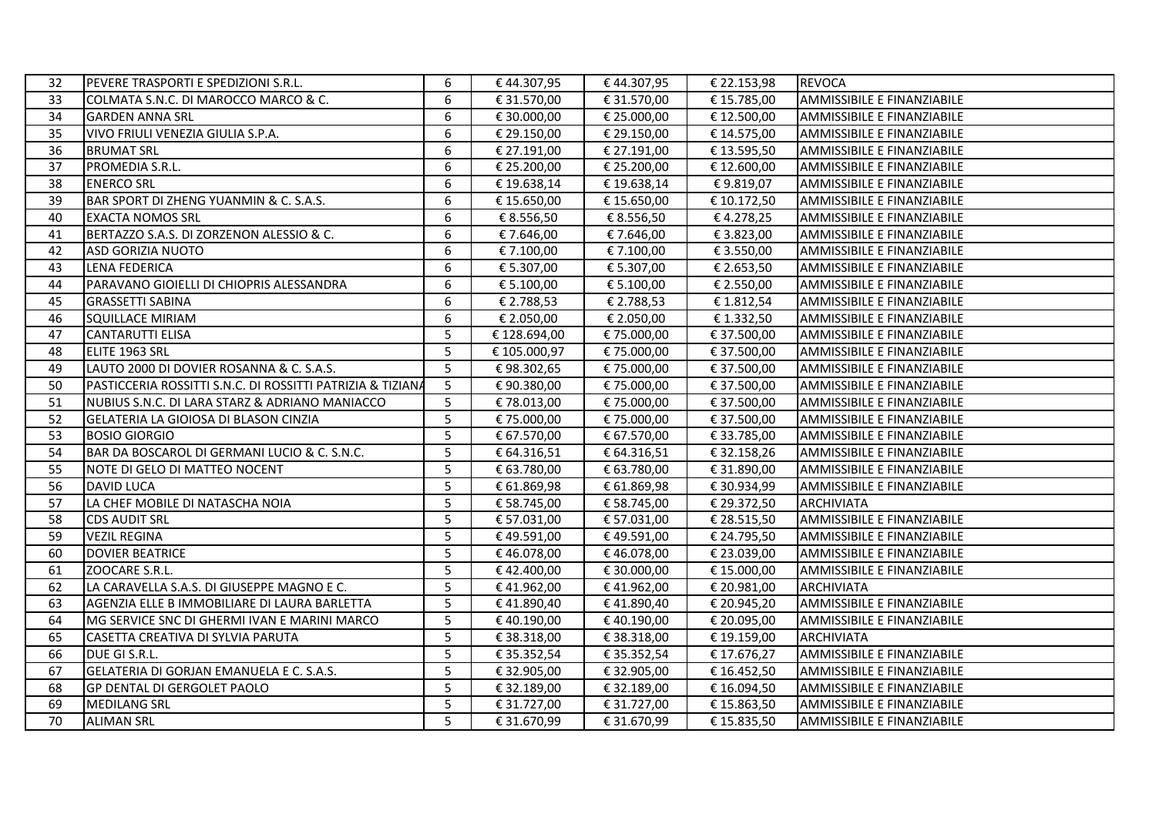| 32 | PEVERE TRASPORTI E SPEDIZIONI S.R.L.                       | 6 | €44.307,95   | € 44.307,95 | € 22.153,98 | <b>REVOCA</b>                     |
|----|------------------------------------------------------------|---|--------------|-------------|-------------|-----------------------------------|
| 33 | COLMATA S.N.C. DI MAROCCO MARCO & C.                       | 6 | € 31.570,00  | € 31.570,00 | € 15.785,00 | AMMISSIBILE E FINANZIABILE        |
| 34 | <b>GARDEN ANNA SRL</b>                                     | 6 | € 30.000,00  | € 25.000,00 | € 12.500,00 | AMMISSIBILE E FINANZIABILE        |
| 35 | VIVO FRIULI VENEZIA GIULIA S.P.A.                          | 6 | € 29.150,00  | € 29.150,00 | € 14.575,00 | AMMISSIBILE E FINANZIABILE        |
| 36 | <b>BRUMAT SRL</b>                                          | 6 | € 27.191,00  | € 27.191,00 | € 13.595,50 | AMMISSIBILE E FINANZIABILE        |
| 37 | PROMEDIA S.R.L.                                            | 6 | € 25.200,00  | € 25.200,00 | € 12.600,00 | AMMISSIBILE E FINANZIABILE        |
| 38 | <b>ENERCO SRL</b>                                          | 6 | € 19.638,14  | € 19.638,14 | €9.819,07   | AMMISSIBILE E FINANZIABILE        |
| 39 | BAR SPORT DI ZHENG YUANMIN & C. S.A.S.                     | 6 | € 15.650,00  | € 15.650,00 | € 10.172,50 | <b>AMMISSIBILE E FINANZIABILE</b> |
| 40 | <b>EXACTA NOMOS SRL</b>                                    | 6 | € 8.556,50   | € 8.556,50  | €4.278,25   | <b>AMMISSIBILE E FINANZIABILE</b> |
| 41 | BERTAZZO S.A.S. DI ZORZENON ALESSIO & C.                   | 6 | € 7.646,00   | €7.646,00   | € 3.823,00  | AMMISSIBILE E FINANZIABILE        |
| 42 | <b>ASD GORIZIA NUOTO</b>                                   | 6 | € 7.100,00   | € 7.100,00  | € 3.550,00  | AMMISSIBILE E FINANZIABILE        |
| 43 | <b>LENA FEDERICA</b>                                       | 6 | € 5.307,00   | € 5.307,00  | € 2.653,50  | AMMISSIBILE E FINANZIABILE        |
| 44 | PARAVANO GIOIELLI DI CHIOPRIS ALESSANDRA                   | 6 | € 5.100,00   | € 5.100,00  | € 2.550,00  | AMMISSIBILE E FINANZIABILE        |
| 45 | <b>GRASSETTI SABINA</b>                                    | 6 | € 2.788,53   | € 2.788,53  | € 1.812,54  | AMMISSIBILE E FINANZIABILE        |
| 46 | SQUILLACE MIRIAM                                           | 6 | € 2.050,00   | € 2.050,00  | € 1.332,50  | AMMISSIBILE E FINANZIABILE        |
| 47 | <b>CANTARUTTI ELISA</b>                                    | 5 | € 128.694,00 | € 75.000,00 | € 37.500,00 | AMMISSIBILE E FINANZIABILE        |
| 48 | ELITE 1963 SRL                                             | 5 | € 105.000,97 | € 75.000,00 | € 37.500,00 | <b>AMMISSIBILE E FINANZIABILE</b> |
| 49 | LAUTO 2000 DI DOVIER ROSANNA & C. S.A.S.                   | 5 | €98.302,65   | € 75.000,00 | € 37.500,00 | AMMISSIBILE E FINANZIABILE        |
| 50 | PASTICCERIA ROSSITTI S.N.C. DI ROSSITTI PATRIZIA & TIZIANA | 5 | €90.380,00   | € 75.000,00 | € 37.500,00 | AMMISSIBILE E FINANZIABILE        |
| 51 | NUBIUS S.N.C. DI LARA STARZ & ADRIANO MANIACCO             | 5 | €78.013,00   | € 75.000,00 | € 37.500,00 | AMMISSIBILE E FINANZIABILE        |
| 52 | GELATERIA LA GIOIOSA DI BLASON CINZIA                      | 5 | € 75.000,00  | € 75.000,00 | € 37.500,00 | <b>AMMISSIBILE E FINANZIABILE</b> |
| 53 | <b>BOSIO GIORGIO</b>                                       | 5 | € 67.570,00  | € 67.570,00 | € 33.785,00 | AMMISSIBILE E FINANZIABILE        |
| 54 | BAR DA BOSCAROL DI GERMANI LUCIO & C. S.N.C.               | 5 | € 64.316,51  | € 64.316,51 | € 32.158,26 | AMMISSIBILE E FINANZIABILE        |
| 55 | NOTE DI GELO DI MATTEO NOCENT                              | 5 | € 63.780,00  | € 63.780,00 | € 31.890,00 | AMMISSIBILE E FINANZIABILE        |
| 56 | <b>DAVID LUCA</b>                                          | 5 | € 61.869,98  | € 61.869,98 | € 30.934,99 | AMMISSIBILE E FINANZIABILE        |
| 57 | LA CHEF MOBILE DI NATASCHA NOIA                            | 5 | € 58.745,00  | € 58.745,00 | € 29.372,50 | ARCHIVIATA                        |
| 58 | <b>CDS AUDIT SRL</b>                                       | 5 | € 57.031,00  | € 57.031,00 | € 28.515,50 | AMMISSIBILE E FINANZIABILE        |
| 59 | <b>VEZIL REGINA</b>                                        | 5 | €49.591,00   | €49.591,00  | € 24.795,50 | <b>AMMISSIBILE E FINANZIABILE</b> |
| 60 | <b>DOVIER BEATRICE</b>                                     | 5 | €46.078,00   | €46.078,00  | € 23.039,00 | AMMISSIBILE E FINANZIABILE        |
| 61 | ZOOCARE S.R.L.                                             | 5 | €42.400,00   | € 30.000,00 | € 15.000,00 | <b>AMMISSIBILE E FINANZIABILE</b> |
| 62 | LA CARAVELLA S.A.S. DI GIUSEPPE MAGNO E C.                 | 5 | €41.962,00   | €41.962,00  | € 20.981,00 | <b>ARCHIVIATA</b>                 |
| 63 | AGENZIA ELLE B IMMOBILIARE DI LAURA BARLETTA               | 5 | €41.890,40   | €41.890,40  | € 20.945,20 | AMMISSIBILE E FINANZIABILE        |
| 64 | MG SERVICE SNC DI GHERMI IVAN E MARINI MARCO               | 5 | €40.190,00   | €40.190,00  | € 20.095,00 | AMMISSIBILE E FINANZIABILE        |
| 65 | CASETTA CREATIVA DI SYLVIA PARUTA                          | 5 | € 38.318,00  | € 38.318,00 | € 19.159,00 | <b>ARCHIVIATA</b>                 |
| 66 | DUE GI S.R.L.                                              | 5 | € 35.352,54  | € 35.352,54 | € 17.676,27 | AMMISSIBILE E FINANZIABILE        |
| 67 | GELATERIA DI GORJAN EMANUELA E C. S.A.S.                   | 5 | € 32.905,00  | € 32.905,00 | € 16.452,50 | AMMISSIBILE E FINANZIABILE        |
| 68 | <b>GP DENTAL DI GERGOLET PAOLO</b>                         | 5 | € 32.189,00  | € 32.189,00 | € 16.094,50 | <b>AMMISSIBILE E FINANZIABILE</b> |
| 69 | <b>MEDILANG SRL</b>                                        | 5 | € 31.727,00  | € 31.727,00 | € 15.863,50 | AMMISSIBILE E FINANZIABILE        |
| 70 | <b>ALIMAN SRL</b>                                          | 5 | € 31.670,99  | € 31.670,99 | € 15.835,50 | AMMISSIBILE E FINANZIABILE        |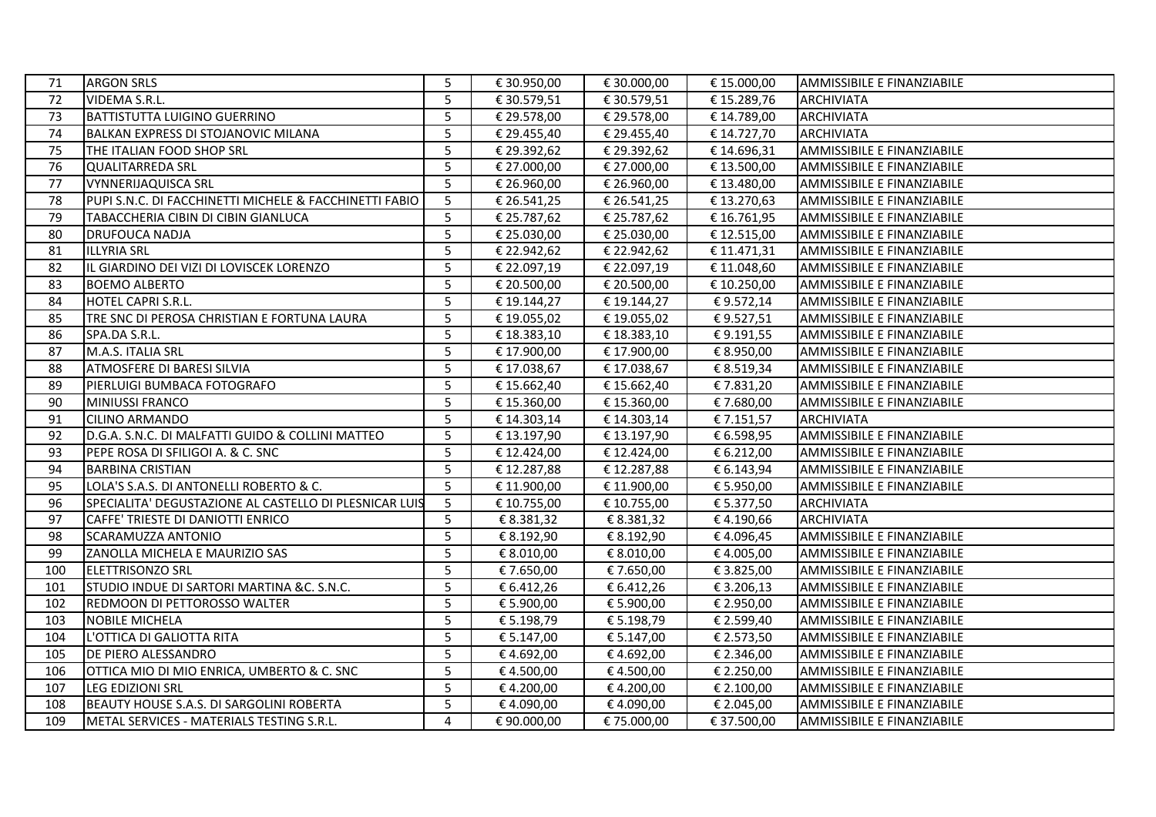| 71  | <b>ARGON SRLS</b>                                      | 5              | € 30.950,00 | € 30.000,00 | € 15.000,00 | AMMISSIBILE E FINANZIABILE |
|-----|--------------------------------------------------------|----------------|-------------|-------------|-------------|----------------------------|
| 72  | <b>VIDEMA S.R.L.</b>                                   | 5              | € 30.579,51 | € 30.579,51 | € 15.289,76 | <b>ARCHIVIATA</b>          |
| 73  | <b>BATTISTUTTA LUIGINO GUERRINO</b>                    | 5              | € 29.578,00 | € 29.578,00 | € 14.789,00 | <b>ARCHIVIATA</b>          |
| 74  | IBALKAN EXPRESS DI STOJANOVIC MILANA                   | 5              | € 29.455,40 | € 29.455,40 | € 14.727,70 | <b>ARCHIVIATA</b>          |
| 75  | THE ITALIAN FOOD SHOP SRL                              | 5              | € 29.392,62 | € 29.392,62 | € 14.696,31 | AMMISSIBILE E FINANZIABILE |
| 76  | QUALITARREDA SRL                                       | 5              | € 27.000,00 | € 27.000,00 | € 13.500,00 | AMMISSIBILE E FINANZIABILE |
| 77  | <b>VYNNERIJAQUISCA SRL</b>                             | 5              | € 26.960,00 | € 26.960,00 | € 13.480,00 | AMMISSIBILE E FINANZIABILE |
| 78  | PUPI S.N.C. DI FACCHINETTI MICHELE & FACCHINETTI FABIO | 5              | € 26.541,25 | € 26.541,25 | € 13.270,63 | AMMISSIBILE E FINANZIABILE |
| 79  | TABACCHERIA CIBIN DI CIBIN GIANLUCA                    | 5              | € 25.787,62 | € 25.787,62 | € 16.761,95 | AMMISSIBILE E FINANZIABILE |
| 80  | DRUFOUCA NADJA                                         | 5              | € 25.030,00 | € 25.030,00 | € 12.515,00 | AMMISSIBILE E FINANZIABILE |
| 81  | <b>ILLYRIA SRL</b>                                     | 5              | € 22.942,62 | € 22.942,62 | € 11.471,31 | AMMISSIBILE E FINANZIABILE |
| 82  | IL GIARDINO DEI VIZI DI LOVISCEK LORENZO               | 5              | € 22.097,19 | € 22.097,19 | € 11.048,60 | AMMISSIBILE E FINANZIABILE |
| 83  | <b>BOEMO ALBERTO</b>                                   | 5              | € 20.500,00 | € 20.500,00 | € 10.250,00 | AMMISSIBILE E FINANZIABILE |
| 84  | HOTEL CAPRI S.R.L.                                     | $\overline{5}$ | € 19.144,27 | € 19.144,27 | €9.572,14   | AMMISSIBILE E FINANZIABILE |
| 85  | TRE SNC DI PEROSA CHRISTIAN E FORTUNA LAURA            | 5              | € 19.055,02 | € 19.055,02 | €9.527,51   | AMMISSIBILE E FINANZIABILE |
| 86  | SPA.DA S.R.L.                                          | 5              | € 18.383,10 | € 18.383,10 | €9.191,55   | AMMISSIBILE E FINANZIABILE |
| 87  | M.A.S. ITALIA SRL                                      | 5              | € 17.900,00 | € 17.900,00 | € 8.950,00  | AMMISSIBILE E FINANZIABILE |
| 88  | <b>ATMOSFERE DI BARESI SILVIA</b>                      | 5              | € 17.038,67 | € 17.038,67 | € 8.519,34  | AMMISSIBILE E FINANZIABILE |
| 89  | PIERLUIGI BUMBACA FOTOGRAFO                            | 5              | € 15.662,40 | € 15.662,40 | €7.831,20   | AMMISSIBILE E FINANZIABILE |
| 90  | <b>MINIUSSI FRANCO</b>                                 | 5              | € 15.360,00 | € 15.360,00 | € 7.680,00  | AMMISSIBILE E FINANZIABILE |
| 91  | <b>CILINO ARMANDO</b>                                  | 5              | € 14.303,14 | € 14.303,14 | € 7.151,57  | <b>ARCHIVIATA</b>          |
| 92  | D.G.A. S.N.C. DI MALFATTI GUIDO & COLLINI MATTEO       | 5              | € 13.197,90 | € 13.197,90 | € 6.598,95  | AMMISSIBILE E FINANZIABILE |
| 93  | PEPE ROSA DI SFILIGOI A. & C. SNC                      | 5              | € 12.424,00 | € 12.424,00 | € 6.212,00  | AMMISSIBILE E FINANZIABILE |
| 94  | <b>BARBINA CRISTIAN</b>                                | 5              | €12.287,88  | € 12.287,88 | € 6.143,94  | AMMISSIBILE E FINANZIABILE |
| 95  | LOLA'S S.A.S. DI ANTONELLI ROBERTO & C.                | 5              | € 11.900,00 | € 11.900,00 | € 5.950,00  | AMMISSIBILE E FINANZIABILE |
| 96  | SPECIALITA' DEGUSTAZIONE AL CASTELLO DI PLESNICAR LUIS | 5              | € 10.755,00 | € 10.755,00 | € 5.377,50  | <b>ARCHIVIATA</b>          |
| 97  | CAFFE' TRIESTE DI DANIOTTI ENRICO                      | 5              | € 8.381,32  | € 8.381,32  | €4.190,66   | <b>ARCHIVIATA</b>          |
| 98  | SCARAMUZZA ANTONIO                                     | 5              | € 8.192,90  | € 8.192,90  | €4.096,45   | AMMISSIBILE E FINANZIABILE |
| 99  | ZANOLLA MICHELA E MAURIZIO SAS                         | 5              | € 8.010,00  | € 8.010,00  | € 4.005,00  | AMMISSIBILE E FINANZIABILE |
| 100 | <b>ELETTRISONZO SRL</b>                                | 5              | € 7.650,00  | € 7.650,00  | € 3.825,00  | AMMISSIBILE E FINANZIABILE |
| 101 | STUDIO INDUE DI SARTORI MARTINA &C. S.N.C.             | 5              | € 6.412,26  | € 6.412,26  | € 3.206,13  | AMMISSIBILE E FINANZIABILE |
| 102 | REDMOON DI PETTOROSSO WALTER                           | 5              | € 5.900,00  | € 5.900,00  | € 2.950,00  | AMMISSIBILE E FINANZIABILE |
| 103 | <b>NOBILE MICHELA</b>                                  | 5              | € 5.198,79  | € 5.198,79  | € 2.599,40  | AMMISSIBILE E FINANZIABILE |
| 104 | L'OTTICA DI GALIOTTA RITA                              | 5              | € 5.147,00  | € 5.147,00  | € 2.573,50  | AMMISSIBILE E FINANZIABILE |
| 105 | DE PIERO ALESSANDRO                                    | 5              | €4.692,00   | €4.692,00   | € 2.346,00  | AMMISSIBILE E FINANZIABILE |
| 106 | OTTICA MIO DI MIO ENRICA, UMBERTO & C. SNC             | 5              | € 4.500,00  | €4.500,00   | € 2.250,00  | AMMISSIBILE E FINANZIABILE |
| 107 | LEG EDIZIONI SRL                                       | 5              | €4.200,00   | €4.200,00   | € 2.100,00  | AMMISSIBILE E FINANZIABILE |
| 108 | BEAUTY HOUSE S.A.S. DI SARGOLINI ROBERTA               | 5              | €4.090,00   | €4.090,00   | € 2.045,00  | AMMISSIBILE E FINANZIABILE |
| 109 | METAL SERVICES - MATERIALS TESTING S.R.L.              | 4              | €90.000,00  | € 75.000,00 | € 37.500,00 | AMMISSIBILE E FINANZIABILE |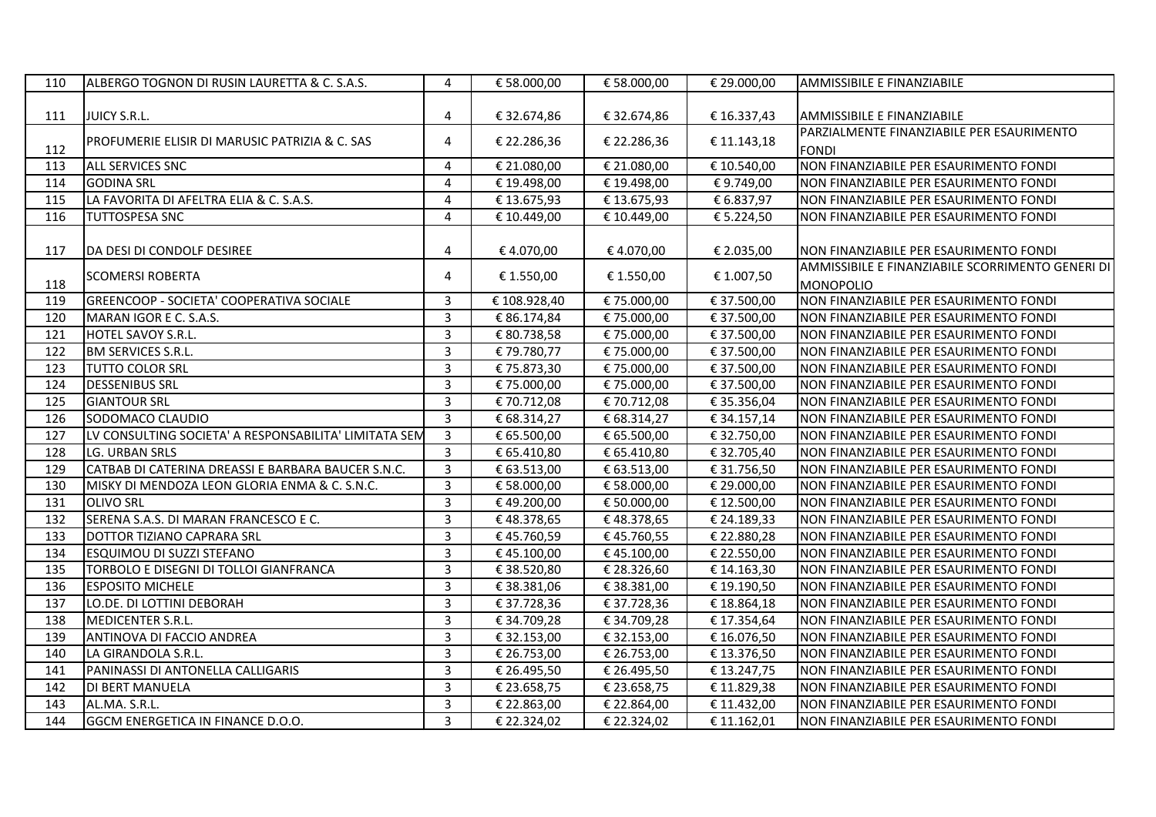| 110 | ALBERGO TOGNON DI RUSIN LAURETTA & C. S.A.S.          | $\overline{4}$ | € 58.000,00 | € 58.000,00 | € 29.000,00 | AMMISSIBILE E FINANZIABILE                       |
|-----|-------------------------------------------------------|----------------|-------------|-------------|-------------|--------------------------------------------------|
|     |                                                       |                |             |             |             |                                                  |
| 111 | JUICY S.R.L.                                          | $\overline{4}$ | € 32.674,86 | € 32.674,86 | €16.337,43  | AMMISSIBILE E FINANZIABILE                       |
|     | PROFUMERIE ELISIR DI MARUSIC PATRIZIA & C. SAS        | 4              | € 22.286,36 | € 22.286,36 | € 11.143,18 | PARZIALMENTE FINANZIABILE PER ESAURIMENTO        |
| 112 |                                                       |                |             |             |             | <b>FONDI</b>                                     |
| 113 | <b>ALL SERVICES SNC</b>                               | 4              | € 21.080,00 | € 21.080,00 | € 10.540,00 | NON FINANZIABILE PER ESAURIMENTO FONDI           |
| 114 | <b>GODINA SRL</b>                                     | 4              | € 19.498,00 | € 19.498,00 | €9.749,00   | NON FINANZIABILE PER ESAURIMENTO FONDI           |
| 115 | LA FAVORITA DI AFELTRA ELIA & C. S.A.S.               | 4              | € 13.675,93 | €13.675,93  | € 6.837,97  | NON FINANZIABILE PER ESAURIMENTO FONDI           |
| 116 | <b>TUTTOSPESA SNC</b>                                 | 4              | € 10.449,00 | € 10.449,00 | € 5.224,50  | NON FINANZIABILE PER ESAURIMENTO FONDI           |
|     |                                                       |                |             |             |             |                                                  |
| 117 | DA DESI DI CONDOLF DESIREE                            | 4              | €4.070,00   | €4.070,00   | € 2.035,00  | NON FINANZIABILE PER ESAURIMENTO FONDI           |
|     |                                                       | 4              |             |             |             | AMMISSIBILE E FINANZIABILE SCORRIMENTO GENERI DI |
| 118 | <b>SCOMERSI ROBERTA</b>                               |                | € 1.550,00  | € 1.550,00  | € 1.007,50  | <b>MONOPOLIO</b>                                 |
| 119 | GREENCOOP - SOCIETA' COOPERATIVA SOCIALE              | 3              | €108.928,40 | € 75.000,00 | € 37.500,00 | NON FINANZIABILE PER ESAURIMENTO FONDI           |
| 120 | MARAN IGOR E C. S.A.S.                                | $\overline{3}$ | € 86.174,84 | €75.000,00  | € 37.500,00 | NON FINANZIABILE PER ESAURIMENTO FONDI           |
| 121 | HOTEL SAVOY S.R.L.                                    | $\overline{3}$ | € 80.738,58 | € 75.000,00 | € 37.500,00 | NON FINANZIABILE PER ESAURIMENTO FONDI           |
| 122 | <b>BM SERVICES S.R.L.</b>                             | $\overline{3}$ | €79.780,77  | € 75.000,00 | € 37.500,00 | NON FINANZIABILE PER ESAURIMENTO FONDI           |
| 123 | <b>TUTTO COLOR SRL</b>                                | $\overline{3}$ | €75.873,30  | € 75.000,00 | € 37.500,00 | NON FINANZIABILE PER ESAURIMENTO FONDI           |
| 124 | <b>DESSENIBUS SRL</b>                                 | $\overline{3}$ | €75.000,00  | €75.000,00  | € 37.500,00 | NON FINANZIABILE PER ESAURIMENTO FONDI           |
| 125 | <b>GIANTOUR SRL</b>                                   | $\overline{3}$ | €70.712,08  | € 70.712,08 | € 35.356,04 | NON FINANZIABILE PER ESAURIMENTO FONDI           |
| 126 | SODOMACO CLAUDIO                                      | 3              | € 68.314,27 | € 68.314,27 | € 34.157,14 | NON FINANZIABILE PER ESAURIMENTO FONDI           |
| 127 | LV CONSULTING SOCIETA' A RESPONSABILITA' LIMITATA SEM | $\overline{3}$ | € 65.500,00 | € 65.500,00 | € 32.750,00 | NON FINANZIABILE PER ESAURIMENTO FONDI           |
| 128 | LG. URBAN SRLS                                        | $\overline{3}$ | € 65.410,80 | € 65.410,80 | € 32.705,40 | NON FINANZIABILE PER ESAURIMENTO FONDI           |
| 129 | CATBAB DI CATERINA DREASSI E BARBARA BAUCER S.N.C.    | 3              | € 63.513,00 | € 63.513,00 | € 31.756,50 | NON FINANZIABILE PER ESAURIMENTO FONDI           |
| 130 | MISKY DI MENDOZA LEON GLORIA ENMA & C. S.N.C.         | $\overline{3}$ | € 58.000,00 | € 58.000,00 | € 29.000,00 | NON FINANZIABILE PER ESAURIMENTO FONDI           |
| 131 | <b>OLIVO SRL</b>                                      | $\overline{3}$ | €49.200,00  | € 50.000,00 | € 12.500,00 | NON FINANZIABILE PER ESAURIMENTO FONDI           |
| 132 | SERENA S.A.S. DI MARAN FRANCESCO E C.                 | 3              | €48.378,65  | €48.378,65  | € 24.189,33 | NON FINANZIABILE PER ESAURIMENTO FONDI           |
| 133 | DOTTOR TIZIANO CAPRARA SRL                            | 3              | €45.760,59  | €45.760,55  | € 22.880,28 | NON FINANZIABILE PER ESAURIMENTO FONDI           |
| 134 | <b>ESQUIMOU DI SUZZI STEFANO</b>                      | 3              | €45.100,00  | €45.100,00  | € 22.550,00 | NON FINANZIABILE PER ESAURIMENTO FONDI           |
| 135 | TORBOLO E DISEGNI DI TOLLOI GIANFRANCA                | 3              | € 38.520,80 | € 28.326,60 | € 14.163,30 | NON FINANZIABILE PER ESAURIMENTO FONDI           |
| 136 | <b>ESPOSITO MICHELE</b>                               | $\overline{3}$ | € 38.381,06 | € 38.381,00 | € 19.190,50 | NON FINANZIABILE PER ESAURIMENTO FONDI           |
| 137 | LO.DE. DI LOTTINI DEBORAH                             | 3              | € 37.728,36 | € 37.728,36 | € 18.864,18 | NON FINANZIABILE PER ESAURIMENTO FONDI           |
| 138 | MEDICENTER S.R.L.                                     | 3              | €34.709,28  | €34.709,28  | € 17.354,64 | NON FINANZIABILE PER ESAURIMENTO FONDI           |
| 139 | ANTINOVA DI FACCIO ANDREA                             | $\overline{3}$ | € 32.153,00 | € 32.153,00 | € 16.076,50 | NON FINANZIABILE PER ESAURIMENTO FONDI           |
| 140 | LA GIRANDOLA S.R.L.                                   | $\overline{3}$ | € 26.753,00 | € 26.753,00 | € 13.376,50 | NON FINANZIABILE PER ESAURIMENTO FONDI           |
| 141 | PANINASSI DI ANTONELLA CALLIGARIS                     | 3              | € 26.495,50 | € 26.495,50 | € 13.247,75 | NON FINANZIABILE PER ESAURIMENTO FONDI           |
| 142 | DI BERT MANUELA                                       | 3              | € 23.658,75 | € 23.658,75 | € 11.829,38 | NON FINANZIABILE PER ESAURIMENTO FONDI           |
| 143 | AL.MA. S.R.L.                                         | $\overline{3}$ | € 22.863,00 | € 22.864,00 | € 11.432,00 | NON FINANZIABILE PER ESAURIMENTO FONDI           |
| 144 | GGCM ENERGETICA IN FINANCE D.O.O.                     | $\overline{3}$ | € 22.324,02 | € 22.324,02 | € 11.162,01 | NON FINANZIABILE PER ESAURIMENTO FONDI           |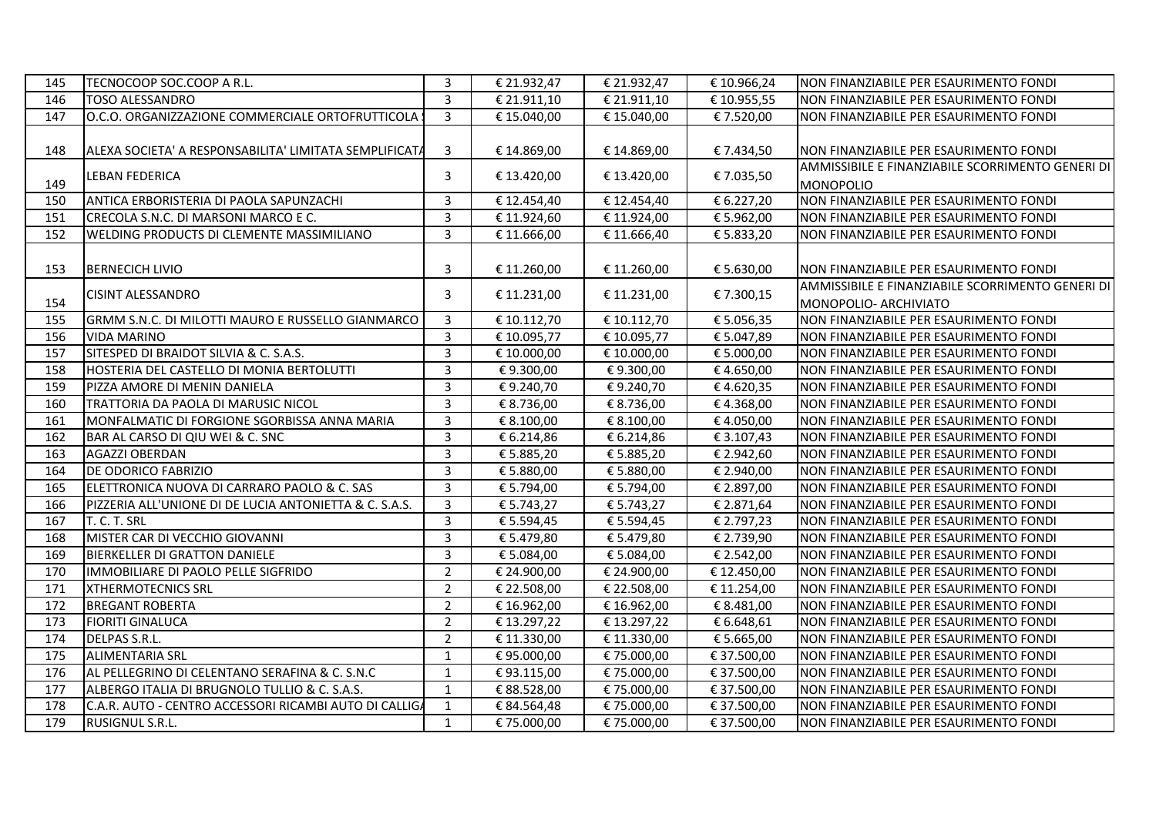| 145 | TECNOCOOP SOC.COOP A R.L.                               | 3              | € 21.932,47 | € 21.932,47 | € 10.966,24 | NON FINANZIABILE PER ESAURIMENTO FONDI                                    |
|-----|---------------------------------------------------------|----------------|-------------|-------------|-------------|---------------------------------------------------------------------------|
| 146 | <b>TOSO ALESSANDRO</b>                                  | 3              | € 21.911,10 | € 21.911,10 | € 10.955,55 | NON FINANZIABILE PER ESAURIMENTO FONDI                                    |
| 147 | O.C.O. ORGANIZZAZIONE COMMERCIALE ORTOFRUTTICOLA        | $\overline{3}$ | € 15.040,00 | € 15.040,00 | € 7.520,00  | INON FINANZIABILE PER ESAURIMENTO FONDI                                   |
| 148 | ALEXA SOCIETA' A RESPONSABILITA' LIMITATA SEMPLIFICATA  | 3              | € 14.869,00 | € 14.869,00 | € 7.434,50  | INON FINANZIABILE PER ESAURIMENTO FONDI                                   |
| 149 | LEBAN FEDERICA                                          | 3              | € 13.420,00 | € 13.420,00 | € 7.035,50  | AMMISSIBILE E FINANZIABILE SCORRIMENTO GENERI DI<br><b>MONOPOLIO</b>      |
| 150 | ANTICA ERBORISTERIA DI PAOLA SAPUNZACHI                 | 3              | € 12.454,40 | € 12.454,40 | € 6.227,20  | NON FINANZIABILE PER ESAURIMENTO FONDI                                    |
| 151 | CRECOLA S.N.C. DI MARSONI MARCO E C.                    | 3              | € 11.924,60 | € 11.924,00 | € 5.962,00  | NON FINANZIABILE PER ESAURIMENTO FONDI                                    |
| 152 | <b>WELDING PRODUCTS DI CLEMENTE MASSIMILIANO</b>        | 3              | € 11.666,00 | € 11.666,40 | € 5.833,20  | NON FINANZIABILE PER ESAURIMENTO FONDI                                    |
|     |                                                         |                |             |             |             |                                                                           |
| 153 | <b>BERNECICH LIVIO</b>                                  | 3              | € 11.260,00 | € 11.260,00 | € 5.630,00  | NON FINANZIABILE PER ESAURIMENTO FONDI                                    |
| 154 | <b>CISINT ALESSANDRO</b>                                | 3              | € 11.231,00 | € 11.231,00 | €7.300,15   | AMMISSIBILE E FINANZIABILE SCORRIMENTO GENERI DI<br>MONOPOLIO- ARCHIVIATO |
| 155 | GRMM S.N.C. DI MILOTTI MAURO E RUSSELLO GIANMARCO       | 3              | € 10.112,70 | € 10.112,70 | € 5.056,35  | NON FINANZIABILE PER ESAURIMENTO FONDI                                    |
| 156 | <b>VIDA MARINO</b>                                      | $\overline{3}$ | € 10.095,77 | € 10.095,77 | € 5.047,89  | NON FINANZIABILE PER ESAURIMENTO FONDI                                    |
| 157 | SITESPED DI BRAIDOT SILVIA & C. S.A.S.                  | 3              | € 10.000,00 | € 10.000,00 | € 5.000,00  | NON FINANZIABILE PER ESAURIMENTO FONDI                                    |
| 158 | HOSTERIA DEL CASTELLO DI MONIA BERTOLUTTI               | $\overline{3}$ | €9.300,00   | €9.300,00   | €4.650,00   | NON FINANZIABILE PER ESAURIMENTO FONDI                                    |
| 159 | PIZZA AMORE DI MENIN DANIELA                            | $\overline{3}$ | € 9.240,70  | € 9.240,70  | €4.620,35   | NON FINANZIABILE PER ESAURIMENTO FONDI                                    |
| 160 | TRATTORIA DA PAOLA DI MARUSIC NICOL                     | $\overline{3}$ | € 8.736,00  | € 8.736,00  | €4.368,00   | NON FINANZIABILE PER ESAURIMENTO FONDI                                    |
| 161 | MONFALMATIC DI FORGIONE SGORBISSA ANNA MARIA            | 3              | € 8.100,00  | € 8.100,00  | €4.050,00   | NON FINANZIABILE PER ESAURIMENTO FONDI                                    |
| 162 | BAR AL CARSO DI QIU WEI & C. SNC                        | 3              | € 6.214,86  | € 6.214,86  | € 3.107,43  | NON FINANZIABILE PER ESAURIMENTO FONDI                                    |
| 163 | <b>AGAZZI OBERDAN</b>                                   | $\overline{3}$ | € 5.885,20  | € 5.885,20  | € 2.942,60  | NON FINANZIABILE PER ESAURIMENTO FONDI                                    |
| 164 | <b>DE ODORICO FABRIZIO</b>                              | $\overline{3}$ | € 5.880,00  | € 5.880,00  | € 2.940,00  | NON FINANZIABILE PER ESAURIMENTO FONDI                                    |
| 165 | ELETTRONICA NUOVA DI CARRARO PAOLO & C. SAS             | $\overline{3}$ | € 5.794,00  | € 5.794,00  | € 2.897,00  | NON FINANZIABILE PER ESAURIMENTO FONDI                                    |
| 166 | PIZZERIA ALL'UNIONE DI DE LUCIA ANTONIETTA & C. S.A.S.  | $\overline{3}$ | € 5.743,27  | € 5.743,27  | € 2.871,64  | NON FINANZIABILE PER ESAURIMENTO FONDI                                    |
| 167 | T. C. T. SRL                                            | $\overline{3}$ | € 5.594,45  | € 5.594,45  | € 2.797,23  | NON FINANZIABILE PER ESAURIMENTO FONDI                                    |
| 168 | MISTER CAR DI VECCHIO GIOVANNI                          | 3              | € 5.479,80  | € 5.479,80  | € 2.739,90  | NON FINANZIABILE PER ESAURIMENTO FONDI                                    |
| 169 | BIERKELLER DI GRATTON DANIELE                           | $\mathbf{3}$   | € 5.084,00  | € 5.084,00  | € 2.542,00  | NON FINANZIABILE PER ESAURIMENTO FONDI                                    |
| 170 | IMMOBILIARE DI PAOLO PELLE SIGFRIDO                     | $\overline{2}$ | € 24.900,00 | € 24.900,00 | € 12.450,00 | NON FINANZIABILE PER ESAURIMENTO FONDI                                    |
| 171 | <b>XTHERMOTECNICS SRL</b>                               | $\overline{2}$ | € 22.508,00 | € 22.508,00 | € 11.254,00 | NON FINANZIABILE PER ESAURIMENTO FONDI                                    |
| 172 | <b>BREGANT ROBERTA</b>                                  | $\overline{2}$ | € 16.962,00 | € 16.962,00 | € 8.481,00  | NON FINANZIABILE PER ESAURIMENTO FONDI                                    |
| 173 | <b>FIORITI GINALUCA</b>                                 | $\overline{2}$ | €13.297,22  | €13.297,22  | € 6.648,61  | NON FINANZIABILE PER ESAURIMENTO FONDI                                    |
| 174 | DELPAS S.R.L.                                           | $\overline{2}$ | € 11.330,00 | € 11.330,00 | € 5.665,00  | NON FINANZIABILE PER ESAURIMENTO FONDI                                    |
| 175 | <b>ALIMENTARIA SRL</b>                                  | 1              | €95.000,00  | €75.000,00  | € 37.500,00 | NON FINANZIABILE PER ESAURIMENTO FONDI                                    |
| 176 | AL PELLEGRINO DI CELENTANO SERAFINA & C. S.N.C          | $\mathbf{1}$   | €93.115,00  | €75.000,00  | € 37.500,00 | NON FINANZIABILE PER ESAURIMENTO FONDI                                    |
| 177 | ALBERGO ITALIA DI BRUGNOLO TULLIO & C. S.A.S.           | 1              | € 88.528,00 | € 75.000,00 | € 37.500,00 | NON FINANZIABILE PER ESAURIMENTO FONDI                                    |
| 178 | IC.A.R. AUTO - CENTRO ACCESSORI RICAMBI AUTO DI CALLIGA | 1              | € 84.564,48 | € 75.000,00 | € 37.500,00 | NON FINANZIABILE PER ESAURIMENTO FONDI                                    |
| 179 | <b>RUSIGNUL S.R.L.</b>                                  | $\mathbf{1}$   | € 75.000,00 | € 75.000,00 | € 37.500,00 | NON FINANZIABILE PER ESAURIMENTO FONDI                                    |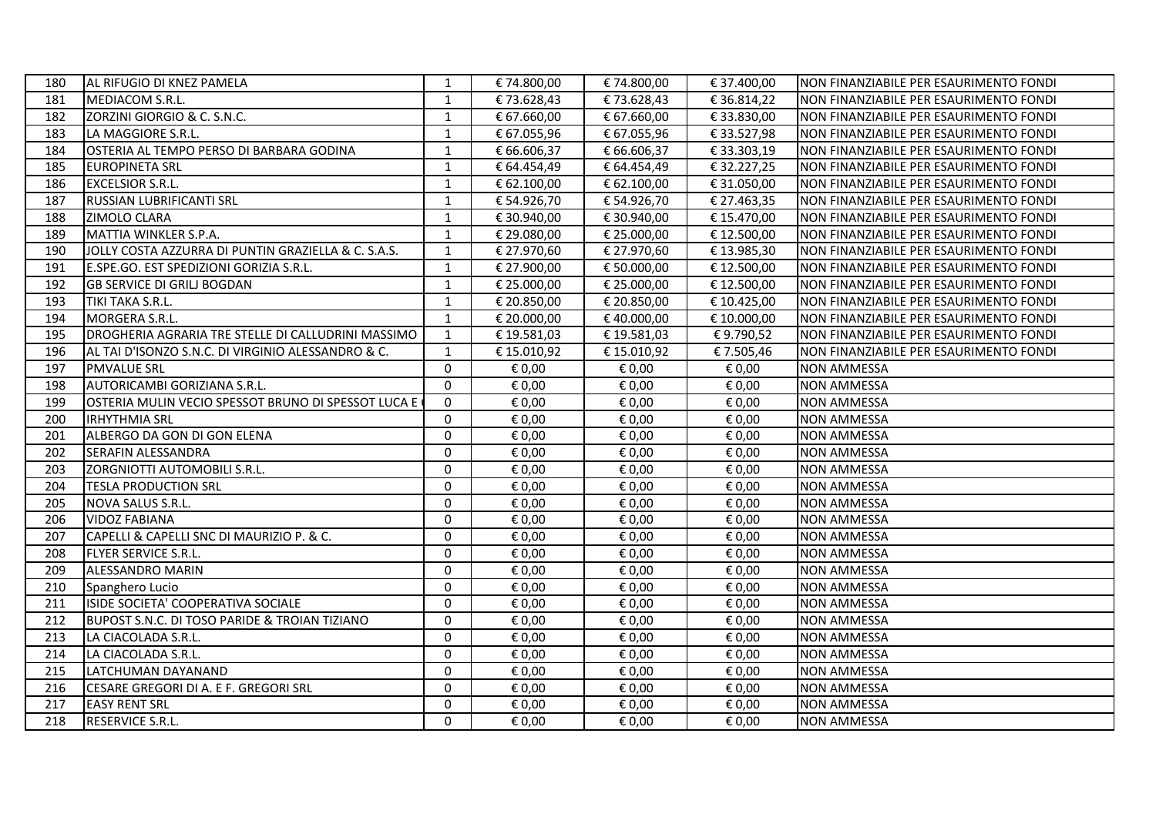| 180 | AL RIFUGIO DI KNEZ PAMELA                                | 1            | € 74.800,00 | € 74.800,00 | € 37.400,00 | NON FINANZIABILE PER ESAURIMENTO FONDI |
|-----|----------------------------------------------------------|--------------|-------------|-------------|-------------|----------------------------------------|
| 181 | MEDIACOM S.R.L.                                          | $\mathbf{1}$ | €73.628,43  | €73.628,43  | €36.814,22  | NON FINANZIABILE PER ESAURIMENTO FONDI |
| 182 | ZORZINI GIORGIO & C. S.N.C.                              | $\mathbf{1}$ | € 67.660,00 | € 67.660,00 | € 33.830,00 | NON FINANZIABILE PER ESAURIMENTO FONDI |
| 183 | LA MAGGIORE S.R.L.                                       | $\mathbf{1}$ | € 67.055,96 | € 67.055,96 | € 33.527,98 | NON FINANZIABILE PER ESAURIMENTO FONDI |
| 184 | OSTERIA AL TEMPO PERSO DI BARBARA GODINA                 | $\mathbf{1}$ | € 66.606,37 | € 66.606,37 | € 33.303,19 | NON FINANZIABILE PER ESAURIMENTO FONDI |
| 185 | <b>EUROPINETA SRL</b>                                    | $\mathbf{1}$ | € 64.454,49 | € 64.454,49 | € 32.227,25 | NON FINANZIABILE PER ESAURIMENTO FONDI |
| 186 | <b>EXCELSIOR S.R.L.</b>                                  | $\mathbf{1}$ | € 62.100,00 | € 62.100,00 | € 31.050,00 | NON FINANZIABILE PER ESAURIMENTO FONDI |
| 187 | <b>RUSSIAN LUBRIFICANTI SRL</b>                          | 1            | € 54.926,70 | € 54.926,70 | € 27.463,35 | NON FINANZIABILE PER ESAURIMENTO FONDI |
| 188 | <b>ZIMOLO CLARA</b>                                      | $\mathbf{1}$ | € 30.940,00 | € 30.940,00 | € 15.470,00 | NON FINANZIABILE PER ESAURIMENTO FONDI |
| 189 | MATTIA WINKLER S.P.A.                                    | $\mathbf{1}$ | € 29.080,00 | € 25.000,00 | € 12.500,00 | NON FINANZIABILE PER ESAURIMENTO FONDI |
| 190 | JOLLY COSTA AZZURRA DI PUNTIN GRAZIELLA & C. S.A.S.      | 1            | € 27.970,60 | € 27.970,60 | € 13.985,30 | NON FINANZIABILE PER ESAURIMENTO FONDI |
| 191 | E.SPE.GO. EST SPEDIZIONI GORIZIA S.R.L.                  | $\mathbf{1}$ | € 27.900,00 | € 50.000,00 | € 12.500,00 | NON FINANZIABILE PER ESAURIMENTO FONDI |
| 192 | <b>GB SERVICE DI GRILI BOGDAN</b>                        | $\mathbf{1}$ | € 25.000,00 | € 25.000,00 | € 12.500,00 | NON FINANZIABILE PER ESAURIMENTO FONDI |
| 193 | TIKI TAKA S.R.L.                                         | $\mathbf{1}$ | € 20.850,00 | € 20.850,00 | € 10.425,00 | NON FINANZIABILE PER ESAURIMENTO FONDI |
| 194 | MORGERA S.R.L.                                           | $\mathbf{1}$ | € 20.000,00 | € 40.000,00 | € 10.000,00 | NON FINANZIABILE PER ESAURIMENTO FONDI |
| 195 | DROGHERIA AGRARIA TRE STELLE DI CALLUDRINI MASSIMO       | $\mathbf{1}$ | €19.581,03  | €19.581,03  | €9.790,52   | NON FINANZIABILE PER ESAURIMENTO FONDI |
| 196 | AL TAI D'ISONZO S.N.C. DI VIRGINIO ALESSANDRO & C.       | 1            | € 15.010,92 | € 15.010,92 | €7.505,46   | NON FINANZIABILE PER ESAURIMENTO FONDI |
| 197 | <b>PMVALUE SRL</b>                                       | $\mathbf 0$  | € 0,00      | € 0,00      | € 0,00      | <b>NON AMMESSA</b>                     |
| 198 | AUTORICAMBI GORIZIANA S.R.L.                             | $\Omega$     | € 0,00      | € 0,00      | € 0,00      | <b>NON AMMESSA</b>                     |
| 199 | OSTERIA MULIN VECIO SPESSOT BRUNO DI SPESSOT LUCA E      | $\Omega$     | € 0,00      | € 0,00      | € 0,00      | <b>NON AMMESSA</b>                     |
| 200 | <b>IRHYTHMIA SRL</b>                                     | $\Omega$     | € 0,00      | € 0,00      | € 0,00      | <b>NON AMMESSA</b>                     |
| 201 | ALBERGO DA GON DI GON ELENA                              | 0            | € 0,00      | € 0,00      | € 0,00      | <b>NON AMMESSA</b>                     |
| 202 | SERAFIN ALESSANDRA                                       | $\Omega$     | € 0,00      | € 0,00      | € 0,00      | <b>NON AMMESSA</b>                     |
| 203 | ZORGNIOTTI AUTOMOBILI S.R.L.                             | $\Omega$     | € 0,00      | € 0,00      | € 0,00      | <b>NON AMMESSA</b>                     |
| 204 | <b>TESLA PRODUCTION SRL</b>                              | 0            | € 0,00      | € 0,00      | € 0,00      | <b>NON AMMESSA</b>                     |
| 205 | NOVA SALUS S.R.L.                                        | $\Omega$     | € 0,00      | € 0,00      | € 0,00      | <b>NON AMMESSA</b>                     |
| 206 | <b>VIDOZ FABIANA</b>                                     | $\Omega$     | € 0,00      | € 0,00      | € 0,00      | <b>NON AMMESSA</b>                     |
| 207 | CAPELLI & CAPELLI SNC DI MAURIZIO P. & C.                | $\Omega$     | € 0,00      | € 0,00      | € 0,00      | <b>NON AMMESSA</b>                     |
| 208 | <b>FLYER SERVICE S.R.L.</b>                              | 0            | € 0,00      | € 0,00      | € 0,00      | <b>NON AMMESSA</b>                     |
| 209 | <b>ALESSANDRO MARIN</b>                                  | 0            | € 0,00      | € 0,00      | € 0,00      | <b>NON AMMESSA</b>                     |
| 210 | Spanghero Lucio                                          | 0            | € 0,00      | € 0,00      | € 0,00      | <b>NON AMMESSA</b>                     |
| 211 | ISIDE SOCIETA' COOPERATIVA SOCIALE                       | $\Omega$     | € 0,00      | € 0,00      | € 0,00      | <b>NON AMMESSA</b>                     |
| 212 | <b>BUPOST S.N.C. DI TOSO PARIDE &amp; TROIAN TIZIANO</b> | 0            | € 0,00      | € 0,00      | € 0,00      | <b>NON AMMESSA</b>                     |
| 213 | LA CIACOLADA S.R.L.                                      | $\mathbf 0$  | € 0,00      | € 0,00      | € 0,00      | <b>NON AMMESSA</b>                     |
| 214 | LA CIACOLADA S.R.L.                                      | $\Omega$     | € 0,00      | € 0,00      | € 0,00      | <b>NON AMMESSA</b>                     |
| 215 | LATCHUMAN DAYANAND                                       | $\Omega$     | € 0,00      | € 0,00      | € 0,00      | <b>NON AMMESSA</b>                     |
| 216 | CESARE GREGORI DI A. E F. GREGORI SRL                    | 0            | € 0,00      | € 0,00      | € 0,00      | <b>NON AMMESSA</b>                     |
| 217 | <b>EASY RENT SRL</b>                                     | 0            | € 0,00      | € 0,00      | € 0,00      | <b>NON AMMESSA</b>                     |
| 218 | <b>RESERVICE S.R.L.</b>                                  | $\mathbf{0}$ | € 0,00      | € 0,00      | € 0,00      | <b>NON AMMESSA</b>                     |